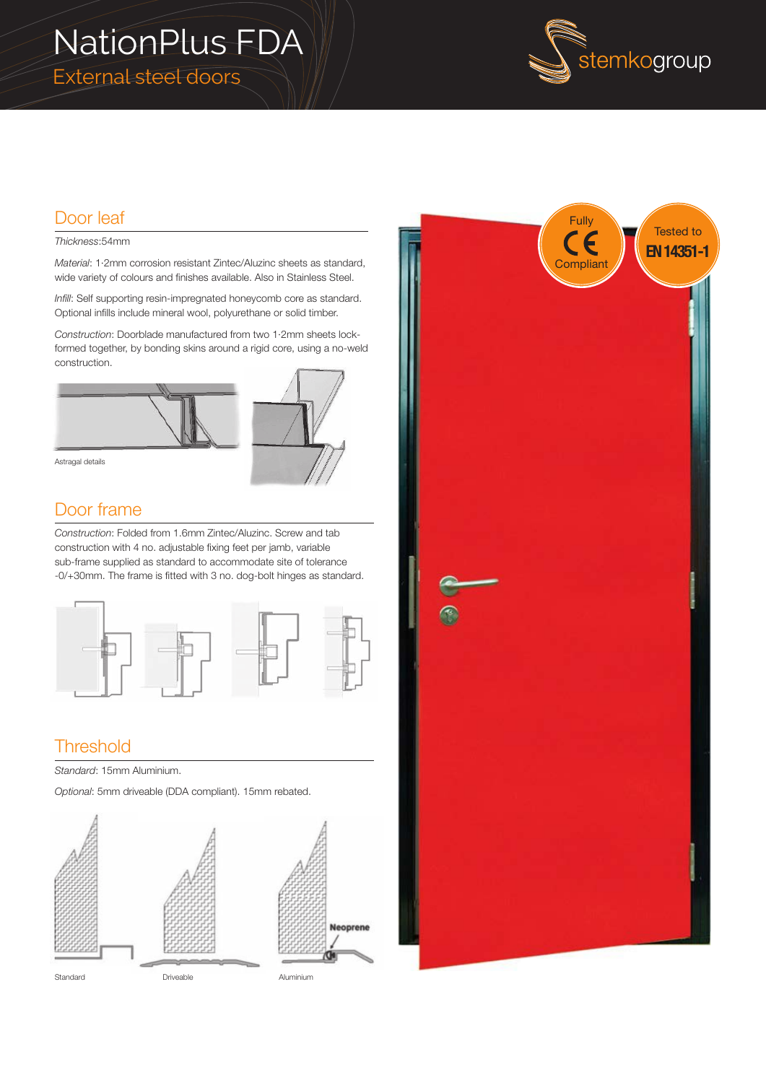# NationPlus FDA External steel doors



### Door leaf

#### *Thickness*:54mm

*Material*: 1·2mm corrosion resistant Zintec/Aluzinc sheets as standard, wide variety of colours and finishes available. Also in Stainless Steel.

*Infill*: Self supporting resin-impregnated honeycomb core as standard. Optional infills include mineral wool, polyurethane or solid timber.

*Construction*: Doorblade manufactured from two 1·2mm sheets lockformed together, by bonding skins around a rigid core, using a no-weld construction.



Astragal details

### Door frame

*Construction*: Folded from 1.6mm Zintec/Aluzinc. Screw and tab construction with 4 no. adjustable fixing feet per jamb, variable sub-frame supplied as standard to accommodate site of tolerance -0/+30mm. The frame is fitted with 3 no. dog-bolt hinges as standard.



## **Threshold**

*Standard*: 15mm Aluminium.

*Optional*: 5mm driveable (DDA compliant). 15mm rebated.